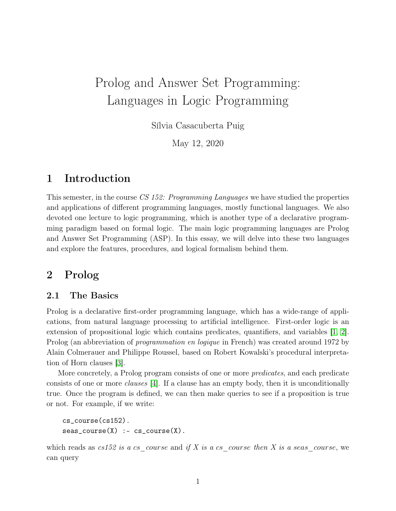# Prolog and Answer Set Programming: Languages in Logic Programming

Sílvia Casacuberta Puig

May 12, 2020

# 1 Introduction

This semester, in the course CS 152: Programming Languages we have studied the properties and applications of different programming languages, mostly functional languages. We also devoted one lecture to logic programming, which is another type of a declarative programming paradigm based on formal logic. The main logic programming languages are Prolog and Answer Set Programming (ASP). In this essay, we will delve into these two languages and explore the features, procedures, and logical formalism behind them.

# 2 Prolog

### 2.1 The Basics

Prolog is a declarative first-order programming language, which has a wide-range of applications, from natural language processing to artificial intelligence. First-order logic is an extension of propositional logic which contains predicates, quantifiers, and variables [\[1,](#page-7-0) [2\]](#page-7-1). Prolog (an abbreviation of *programmation en logique* in French) was created around 1972 by Alain Colmerauer and Philippe Roussel, based on Robert Kowalski's procedural interpretation of Horn clauses [\[3\]](#page-7-2).

More concretely, a Prolog program consists of one or more *predicates*, and each predicate consists of one or more clauses [\[4\]](#page-7-3). If a clause has an empty body, then it is unconditionally true. Once the program is defined, we can then make queries to see if a proposition is true or not. For example, if we write:

```
cs_course(cs152).
seas\_course(X) :- cs\_course(X).
```
which reads as  $cs152$  is a cs course and if X is a cs course then X is a seas course, we can query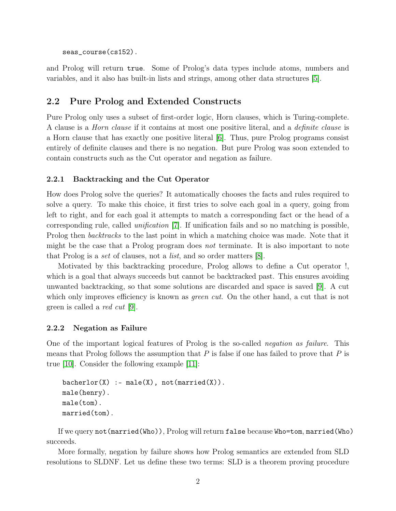seas\_course(cs152).

and Prolog will return true. Some of Prolog's data types include atoms, numbers and variables, and it also has built-in lists and strings, among other data structures [\[5\]](#page-7-4).

### 2.2 Pure Prolog and Extended Constructs

Pure Prolog only uses a subset of first-order logic, Horn clauses, which is Turing-complete. A clause is a Horn clause if it contains at most one positive literal, and a definite clause is a Horn clause that has exactly one positive literal [\[6\]](#page-7-5). Thus, pure Prolog programs consist entirely of definite clauses and there is no negation. But pure Prolog was soon extended to contain constructs such as the Cut operator and negation as failure.

#### 2.2.1 Backtracking and the Cut Operator

How does Prolog solve the queries? It automatically chooses the facts and rules required to solve a query. To make this choice, it first tries to solve each goal in a query, going from left to right, and for each goal it attempts to match a corresponding fact or the head of a corresponding rule, called unification [\[7\]](#page-7-6). If unification fails and so no matching is possible, Prolog then *backtracks* to the last point in which a matching choice was made. Note that it might be the case that a Prolog program does not terminate. It is also important to note that Prolog is a set of clauses, not a list, and so order matters [\[8\]](#page-7-7).

Motivated by this backtracking procedure, Prolog allows to define a Cut operator !, which is a goal that always succeeds but cannot be backtracked past. This ensures avoiding unwanted backtracking, so that some solutions are discarded and space is saved [\[9\]](#page-7-8). A cut which only improves efficiency is known as *green cut*. On the other hand, a cut that is not green is called a red cut [\[9\]](#page-7-8).

#### 2.2.2 Negation as Failure

One of the important logical features of Prolog is the so-called negation as failure. This means that Prolog follows the assumption that  $P$  is false if one has failed to prove that  $P$  is true [\[10\]](#page-7-9). Consider the following example [\[11\]](#page-7-10):

```
bacherlor(X) :- male(X), not(married(X)).
male(henry).
male(tom).
married(tom).
```
If we query not(married(Who)), Prolog will return false because Who=tom, married(Who) succeeds.

More formally, negation by failure shows how Prolog semantics are extended from SLD resolutions to SLDNF. Let us define these two terms: SLD is a theorem proving procedure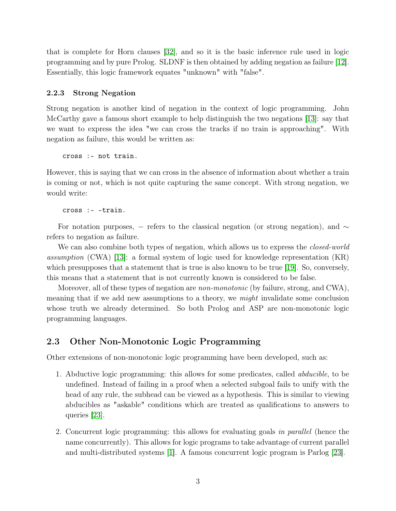that is complete for Horn clauses [\[32\]](#page-9-0), and so it is the basic inference rule used in logic programming and by pure Prolog. SLDNF is then obtained by adding negation as failure [\[12\]](#page-7-11). Essentially, this logic framework equates "unknown" with "false".

#### 2.2.3 Strong Negation

Strong negation is another kind of negation in the context of logic programming. John McCarthy gave a famous short example to help distinguish the two negations [\[13\]](#page-7-12): say that we want to express the idea "we can cross the tracks if no train is approaching". With negation as failure, this would be written as:

cross :- not train.

However, this is saying that we can cross in the absence of information about whether a train is coming or not, which is not quite capturing the same concept. With strong negation, we would write:

cross :- -train.

For notation purposes, – refers to the classical negation (or strong negation), and  $\sim$ refers to negation as failure.

We can also combine both types of negation, which allows us to express the *closed-world* assumption (CWA) [\[13\]](#page-7-12): a formal system of logic used for knowledge representation (KR) which presupposes that a statement that is true is also known to be true [\[19\]](#page-8-0). So, conversely, this means that a statement that is not currently known is considered to be false.

Moreover, all of these types of negation are *non-monotonic* (by failure, strong, and CWA), meaning that if we add new assumptions to a theory, we might invalidate some conclusion whose truth we already determined. So both Prolog and ASP are non-monotonic logic programming languages.

### 2.3 Other Non-Monotonic Logic Programming

Other extensions of non-monotonic logic programming have been developed, such as:

- 1. Abductive logic programming: this allows for some predicates, called abducible, to be undefined. Instead of failing in a proof when a selected subgoal fails to unify with the head of any rule, the subhead can be viewed as a hypothesis. This is similar to viewing abducibles as "askable" conditions which are treated as qualifications to answers to queries [\[23\]](#page-8-1).
- 2. Concurrent logic programming: this allows for evaluating goals in parallel (hence the name concurrently). This allows for logic programs to take advantage of current parallel and multi-distributed systems [\[1\]](#page-7-0). A famous concurrent logic program is Parlog [\[23\]](#page-8-1).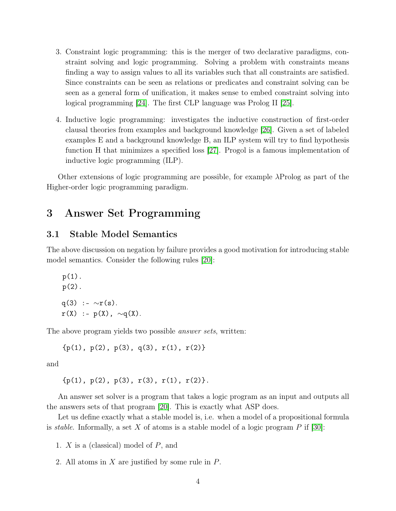- 3. Constraint logic programming: this is the merger of two declarative paradigms, constraint solving and logic programming. Solving a problem with constraints means finding a way to assign values to all its variables such that all constraints are satisfied. Since constraints can be seen as relations or predicates and constraint solving can be seen as a general form of unification, it makes sense to embed constraint solving into logical programming [\[24\]](#page-8-2). The first CLP language was Prolog II [\[25\]](#page-8-3).
- 4. Inductive logic programming: investigates the inductive construction of first-order clausal theories from examples and background knowledge [\[26\]](#page-8-4). Given a set of labeled examples E and a background knowledge B, an ILP system will try to find hypothesis function H that minimizes a specified loss [\[27\]](#page-9-1). Progol is a famous implementation of inductive logic programming (ILP).

Other extensions of logic programming are possible, for example  $\lambda$ Prolog as part of the Higher-order logic programming paradigm.

## 3 Answer Set Programming

### 3.1 Stable Model Semantics

The above discussion on negation by failure provides a good motivation for introducing stable model semantics. Consider the following rules [\[20\]](#page-8-5):

p(1).  
\np(2).  
\nq(3) :- 
$$
\sim
$$
r(s).  
\nr(X) :- p(X),  $\sim$ q(X).

The above program yields two possible answer sets, written:

 ${p(1), p(2), p(3), q(3), r(1), r(2)}$ 

and

 ${p(1), p(2), p(3), r(3), r(1), r(2)}.$ 

An answer set solver is a program that takes a logic program as an input and outputs all the answers sets of that program [\[20\]](#page-8-5). This is exactly what ASP does.

Let us define exactly what a stable model is, i.e. when a model of a propositional formula is *stable*. Informally, a set X of atoms is a stable model of a logic program  $P$  if [\[30\]](#page-9-2):

1. X is a (classical) model of P, and

2. All atoms in X are justified by some rule in P.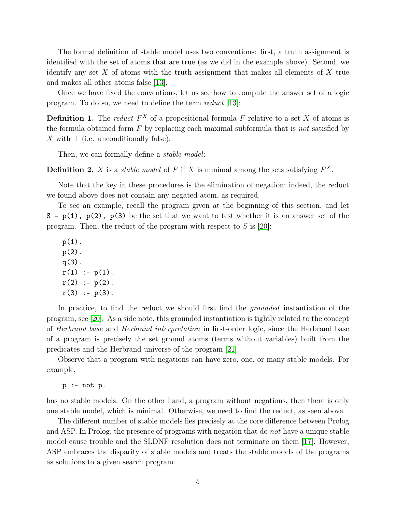The formal definition of stable model uses two conventions: first, a truth assignment is identified with the set of atoms that are true (as we did in the example above). Second, we identify any set  $X$  of atoms with the truth assignment that makes all elements of  $X$  true and makes all other atoms false [\[13\]](#page-7-12).

Once we have fixed the conventions, let us see how to compute the answer set of a logic program. To do so, we need to define the term reduct [\[13\]](#page-7-12):

**Definition 1.** The reduct  $F^X$  of a propositional formula F relative to a set X of atoms is the formula obtained form  $F$  by replacing each maximal subformula that is *not* satisfied by X with  $\perp$  (i.e. unconditionally false).

Then, we can formally define a *stable model*:

**Definition 2.** X is a *stable model* of F if X is minimal among the sets satisfying  $F^X$ .

Note that the key in these procedures is the elimination of negation; indeed, the reduct we found above does not contain any negated atom, as required.

To see an example, recall the program given at the beginning of this section, and let  $S = p(1)$ ,  $p(2)$ ,  $p(3)$  be the set that we want to test whether it is an answer set of the program. Then, the reduct of the program with respect to  $S$  is [\[20\]](#page-8-5):

p(1). p(2). q(3).  $r(1) := p(1)$ .  $r(2) := p(2)$ .  $r(3) := p(3)$ .

In practice, to find the reduct we should first find the *grounded* instantiation of the program, see [\[20\]](#page-8-5). As a side note, this grounded instantiation is tightly related to the concept of Herbrand base and Herbrand interpretation in first-order logic, since the Herbrand base of a program is precisely the set ground atoms (terms without variables) built from the predicates and the Herbrand universe of the program [\[21\]](#page-8-6).

Observe that a program with negations can have zero, one, or many stable models. For example,

p :- not p.

has no stable models. On the other hand, a program without negations, then there is only one stable model, which is minimal. Otherwise, we need to find the reduct, as seen above.

The different number of stable models lies precisely at the core difference between Prolog and ASP. In Prolog, the presence of programs with negation that do not have a unique stable model cause trouble and the SLDNF resolution does not terminate on them [\[17\]](#page-8-7). However, ASP embraces the disparity of stable models and treats the stable models of the programs as solutions to a given search program.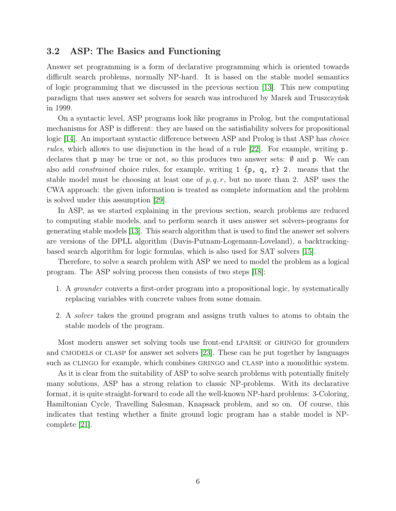### 3.2 ASP: The Basics and Functioning

Answer set programming is a form of declarative programming which is oriented towards difficult search problems, normally NP-hard. It is based on the stable model semantics of logic programming that we discussed in the previous section [\[13\]](#page-7-12). This new computing paradigm that uses answer set solvers for search was introduced by Marek and Truszczyńsk in 1999.

On a syntactic level, ASP programs look like programs in Prolog, but the computational mechanisms for ASP is different: they are based on the satisfiability solvers for propositional logic [\[14\]](#page-8-8). An important syntactic difference between ASP and Prolog is that ASP has choice rules, which allows to use disjunction in the head of a rule [\[22\]](#page-8-9). For example, writing p. declares that p may be true or not, so this produces two answer sets:  $\emptyset$  and p. We can also add constrained choice rules, for example, writing 1 {p, q, r} 2. means that the stable model must be choosing at least one of  $p, q, r$ , but no more than 2. ASP uses the CWA approach: the given information is treated as complete information and the problem is solved under this assumption [\[29\]](#page-9-3).

In ASP, as we started explaining in the previous section, search problems are reduced to computing stable models, and to perform search it uses answer set solvers-programs for generating stable models [\[13\]](#page-7-12). This search algorithm that is used to find the answer set solvers are versions of the DPLL algorithm (Davis-Putnam-Logemann-Loveland), a backtrackingbased search algorithm for logic formulas, which is also used for SAT solvers [\[15\]](#page-8-10).

Therefore, to solve a search problem with ASP we need to model the problem as a logical program. The ASP solving process then consists of two steps [\[18\]](#page-8-11):

- 1. A grounder converts a first-order program into a propositional logic, by systematically replacing variables with concrete values from some domain.
- 2. A solver takes the ground program and assigns truth values to atoms to obtain the stable models of the program.

Most modern answer set solving tools use front-end LPARSE or GRINGO for grounders and CMODELS or CLASP for answer set solvers [\[23\]](#page-8-1). These can be put together by languages such as CLINGO for example, which combines GRINGO and CLASP into a monolithic system.

As it is clear from the suitability of ASP to solve search problems with potentially finitely many solutions, ASP has a strong relation to classic NP-problems. With its declarative format, it is quite straight-forward to code all the well-known NP-hard problems: 3-Coloring, Hamiltonian Cycle, Travelling Salesman, Knapsack problem, and so on. Of course, this indicates that testing whether a finite ground logic program has a stable model is NPcomplete [\[21\]](#page-8-6).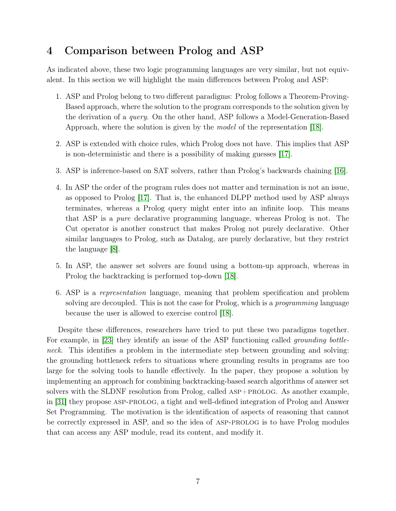# 4 Comparison between Prolog and ASP

As indicated above, these two logic programming languages are very similar, but not equivalent. In this section we will highlight the main differences between Prolog and ASP:

- 1. ASP and Prolog belong to two different paradigms: Prolog follows a Theorem-Proving-Based approach, where the solution to the program corresponds to the solution given by the derivation of a query. On the other hand, ASP follows a Model-Generation-Based Approach, where the solution is given by the model of the representation [\[18\]](#page-8-11).
- 2. ASP is extended with choice rules, which Prolog does not have. This implies that ASP is non-deterministic and there is a possibility of making guesses [\[17\]](#page-8-7).
- 3. ASP is inference-based on SAT solvers, rather than Prolog's backwards chaining [\[16\]](#page-8-12).
- 4. In ASP the order of the program rules does not matter and termination is not an issue, as opposed to Prolog [\[17\]](#page-8-7). That is, the enhanced DLPP method used by ASP always terminates, whereas a Prolog query might enter into an infinite loop. This means that ASP is a pure declarative programming language, whereas Prolog is not. The Cut operator is another construct that makes Prolog not purely declarative. Other similar languages to Prolog, such as Datalog, are purely declarative, but they restrict the language [\[8\]](#page-7-7).
- 5. In ASP, the answer set solvers are found using a bottom-up approach, whereas in Prolog the backtracking is performed top-down [\[18\]](#page-8-11).
- 6. ASP is a representation language, meaning that problem specification and problem solving are decoupled. This is not the case for Prolog, which is a *programming* language because the user is allowed to exercise control [\[18\]](#page-8-11).

Despite these differences, researchers have tried to put these two paradigms together. For example, in [\[23\]](#page-8-1) they identify an issue of the ASP functioning called *grounding bottle*neck. This identifies a problem in the intermediate step between grounding and solving: the grounding bottleneck refers to situations where grounding results in programs are too large for the solving tools to handle effectively. In the paper, they propose a solution by implementing an approach for combining backtracking-based search algorithms of answer set solvers with the SLDNF resolution from Prolog, called ASP+PROLOG. As another example, in [\[31\]](#page-9-4) they propose asp-prolog, a tight and well-defined integration of Prolog and Answer Set Programming. The motivation is the identification of aspects of reasoning that cannot be correctly expressed in ASP, and so the idea of ASP-PROLOG is to have Prolog modules that can access any ASP module, read its content, and modify it.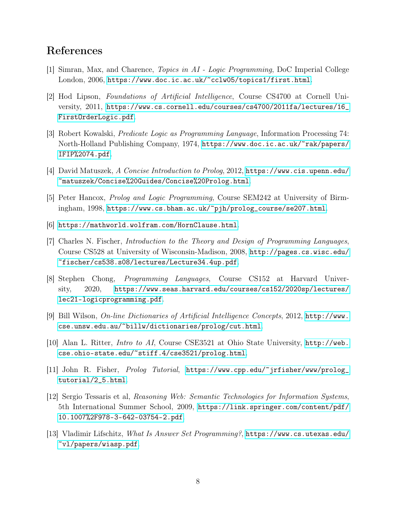# References

- <span id="page-7-0"></span>[1] Simran, Max, and Charence, Topics in AI - Logic Programming, DoC Imperial College London, 2006, <https://www.doc.ic.ac.uk/~cclw05/topics1/first.html>.
- <span id="page-7-1"></span>[2] Hod Lipson, Foundations of Artificial Intelligence, Course CS4700 at Cornell University, 2011, [https://www.cs.cornell.edu/courses/cs4700/2011fa/lectures/16\\_](https://www.cs.cornell.edu/courses/cs4700/2011fa/lectures/16_FirstOrderLogic.pdf) [FirstOrderLogic.pdf](https://www.cs.cornell.edu/courses/cs4700/2011fa/lectures/16_FirstOrderLogic.pdf).
- <span id="page-7-2"></span>[3] Robert Kowalski, Predicate Logic as Programming Language, Information Processing 74: North-Holland Publishing Company, 1974, [https://www.doc.ic.ac.uk/~rak/papers/](https://www.doc.ic.ac.uk/~rak/papers/IFIP%2074.pdf) [IFIP%2074.pdf](https://www.doc.ic.ac.uk/~rak/papers/IFIP%2074.pdf).
- <span id="page-7-3"></span>[4] David Matuszek, A Concise Introduction to Prolog, 2012, [https://www.cis.upenn.edu/](https://www.cis.upenn.edu/~matuszek/Concise%20Guides/Concise%20Prolog.html) [~matuszek/Concise%20Guides/Concise%20Prolog.html](https://www.cis.upenn.edu/~matuszek/Concise%20Guides/Concise%20Prolog.html).
- <span id="page-7-4"></span>[5] Peter Hancox, Prolog and Logic Programming, Course SEM242 at University of Birmingham, 1998, [https://www.cs.bham.ac.uk/~pjh/prolog\\_course/se207.html](https://www.cs.bham.ac.uk/~pjh/prolog_course/se207.html).
- <span id="page-7-5"></span>[6] <https://mathworld.wolfram.com/HornClause.html>.
- <span id="page-7-6"></span>[7] Charles N. Fischer, Introduction to the Theory and Design of Programming Languages, Course CS528 at University of Wisconsin-Madison, 2008, [http://pages.cs.wisc.edu/](http://pages.cs.wisc.edu/~fischer/cs538.s08/lectures/Lecture34.4up.pdf) [~fischer/cs538.s08/lectures/Lecture34.4up.pdf](http://pages.cs.wisc.edu/~fischer/cs538.s08/lectures/Lecture34.4up.pdf).
- <span id="page-7-7"></span>[8] Stephen Chong, Programming Languages, Course CS152 at Harvard University, 2020, [https://www.seas.harvard.edu/courses/cs152/2020sp/lectures/](https://www.seas.harvard.edu/courses/cs152/2020sp/lectures/lec21-logicprogramming.pdf) [lec21-logicprogramming.pdf](https://www.seas.harvard.edu/courses/cs152/2020sp/lectures/lec21-logicprogramming.pdf).
- <span id="page-7-8"></span>[9] Bill Wilson, On-line Dictionaries of Artificial Intelligence Concepts, 2012, [http://www.](http://www.cse.unsw.edu.au/~billw/dictionaries/prolog/cut.html) [cse.unsw.edu.au/~billw/dictionaries/prolog/cut.html](http://www.cse.unsw.edu.au/~billw/dictionaries/prolog/cut.html).
- <span id="page-7-9"></span>[10] Alan L. Ritter, Intro to AI, Course CSE3521 at Ohio State University, [http://web.](http://web.cse.ohio-state.edu/~stiff.4/cse3521/prolog.html) [cse.ohio-state.edu/~stiff.4/cse3521/prolog.html](http://web.cse.ohio-state.edu/~stiff.4/cse3521/prolog.html).
- <span id="page-7-10"></span>[11] John R. Fisher, Prolog Tutorial, [https://www.cpp.edu/~jrfisher/www/prolog\\_](https://www.cpp.edu/~jrfisher/www/prolog_tutorial/2_5.html) [tutorial/2\\_5.html](https://www.cpp.edu/~jrfisher/www/prolog_tutorial/2_5.html).
- <span id="page-7-11"></span>[12] Sergio Tessaris et al, Reasoning Web: Semantic Technologies for Information Systems, 5th International Summer School, 2009, [https://link.springer.com/content/pdf/](https://link.springer.com/content/pdf/10.1007%2F978-3-642-03754-2.pdf) [10.1007%2F978-3-642-03754-2.pdf](https://link.springer.com/content/pdf/10.1007%2F978-3-642-03754-2.pdf).
- <span id="page-7-12"></span>[13] Vladimir Lifschitz, What Is Answer Set Programming?, [https://www.cs.utexas.edu/](https://www.cs.utexas.edu/~vl/papers/wiasp.pdf) [~vl/papers/wiasp.pdf](https://www.cs.utexas.edu/~vl/papers/wiasp.pdf).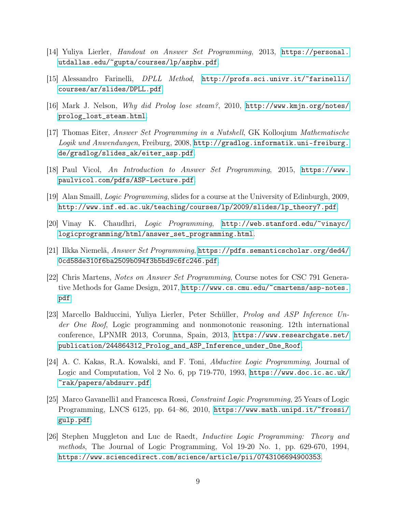- <span id="page-8-8"></span>[14] Yuliya Lierler, Handout on Answer Set Programming, 2013, [https://personal.](https://personal.utdallas.edu/~gupta/courses/lp/asphw.pdf) [utdallas.edu/~gupta/courses/lp/asphw.pdf](https://personal.utdallas.edu/~gupta/courses/lp/asphw.pdf).
- <span id="page-8-10"></span>[15] Alessandro Farinelli, DPLL Method, [http://profs.sci.univr.it/~farinelli/](http://profs.sci.univr.it/~farinelli/courses/ar/slides/DPLL.pdf) [courses/ar/slides/DPLL.pdf](http://profs.sci.univr.it/~farinelli/courses/ar/slides/DPLL.pdf).
- <span id="page-8-12"></span>[16] Mark J. Nelson, Why did Prolog lose steam?, 2010, [http://www.kmjn.org/notes/](http://www.kmjn.org/notes/prolog_lost_steam.html) [prolog\\_lost\\_steam.html](http://www.kmjn.org/notes/prolog_lost_steam.html).
- <span id="page-8-7"></span>[17] Thomas Eiter, Answer Set Programming in a Nutshell, GK Kolloqium Mathematische Logik und Anwendungen, Freiburg, 2008, [http://gradlog.informatik.uni-freiburg.](http://gradlog.informatik.uni-freiburg.de/gradlog/slides_ak/eiter_asp.pdf) [de/gradlog/slides\\_ak/eiter\\_asp.pdf](http://gradlog.informatik.uni-freiburg.de/gradlog/slides_ak/eiter_asp.pdf).
- <span id="page-8-11"></span>[18] Paul Vicol, An Introduction to Answer Set Programming, 2015, [https://www.](https://www.paulvicol.com/pdfs/ASP-Lecture.pdf) [paulvicol.com/pdfs/ASP-Lecture.pdf](https://www.paulvicol.com/pdfs/ASP-Lecture.pdf).
- <span id="page-8-0"></span>[19] Alan Smaill, Logic Programming, slides for a course at the University of Edinburgh, 2009, [http://www.inf.ed.ac.uk/teaching/courses/lp/2009/slides/lp\\_theory7.pdf](http://www.inf.ed.ac.uk/teaching/courses/lp/2009/slides/lp_theory7.pdf).
- <span id="page-8-5"></span>[20] Vinay K. Chaudhri, Logic Programming, [http://web.stanford.edu/~vinayc/](http://web.stanford.edu/~vinayc/logicprogramming/html/answer_set_programming.html) [logicprogramming/html/answer\\_set\\_programming.html](http://web.stanford.edu/~vinayc/logicprogramming/html/answer_set_programming.html).
- <span id="page-8-6"></span>[21] Ilkka Niemelä, Answer Set Programming, [https://pdfs.semanticscholar.org/ded4/](https://pdfs.semanticscholar.org/ded4/0cd58de310f6ba2509b094f3b5bd9c6fc246.pdf) [0cd58de310f6ba2509b094f3b5bd9c6fc246.pdf](https://pdfs.semanticscholar.org/ded4/0cd58de310f6ba2509b094f3b5bd9c6fc246.pdf).
- <span id="page-8-9"></span>[22] Chris Martens, Notes on Answer Set Programming, Course notes for CSC 791 Generative Methods for Game Design, 2017, [http://www.cs.cmu.edu/~cmartens/asp-notes.](http://www.cs.cmu.edu/~cmartens/asp-notes.pdf) [pdf](http://www.cs.cmu.edu/~cmartens/asp-notes.pdf)
- <span id="page-8-1"></span>[23] Marcello Balduccini, Yuliya Lierler, Peter Schüller, Prolog and ASP Inference Under One Roof, Logic programming and nonmonotonic reasoning. 12th international conference, LPNMR 2013, Corunna, Spain, 2013, [https://www.researchgate.net/](https://www.researchgate.net/publication/244864312_Prolog_and_ASP_Inference_under_One_Roof) [publication/244864312\\_Prolog\\_and\\_ASP\\_Inference\\_under\\_One\\_Roof](https://www.researchgate.net/publication/244864312_Prolog_and_ASP_Inference_under_One_Roof).
- <span id="page-8-2"></span>[24] A. C. Kakas, R.A. Kowalski, and F. Toni, Abductive Logic Programming, Journal of Logic and Computation, Vol 2 No. 6, pp 719-770, 1993, [https://www.doc.ic.ac.uk/](https://www.doc.ic.ac.uk/~rak/papers/abdsurv.pdf) [~rak/papers/abdsurv.pdf](https://www.doc.ic.ac.uk/~rak/papers/abdsurv.pdf).
- <span id="page-8-3"></span>[25] Marco Gavanelli1 and Francesca Rossi, Constraint Logic Programming, 25 Years of Logic Programming, LNCS 6125, pp. 64–86, 2010, [https://www.math.unipd.it/~frossi/](https://www.math.unipd.it/~frossi/gulp.pdf) [gulp.pdf](https://www.math.unipd.it/~frossi/gulp.pdf).
- <span id="page-8-4"></span>[26] Stephen Muggleton and Luc de Raedt, Inductive Logic Programming: Theory and methods, The Journal of Logic Programming, Vol 19-20 No. 1, pp. 629-670, 1994, <https://www.sciencedirect.com/science/article/pii/0743106694900353>.